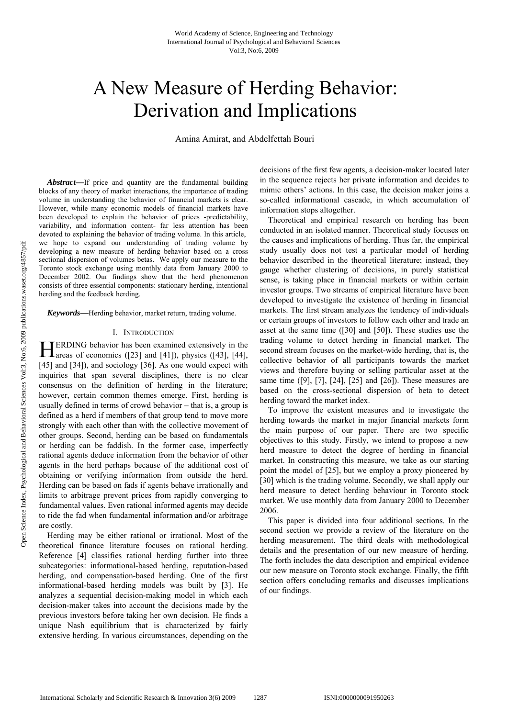# A New Measure of Herding Behavior: Derivation and Implications

Amina Amirat, and Abdelfettah Bouri

*Abstract—*If price and quantity are the fundamental building blocks of any theory of market interactions, the importance of trading volume in understanding the behavior of financial markets is clear. However, while many economic models of financial markets have been developed to explain the behavior of prices -predictability, variability, and information content- far less attention has been devoted to explaining the behavior of trading volume. In this article, we hope to expand our understanding of trading volume by developing a new measure of herding behavior based on a cross sectional dispersion of volumes betas. We apply our measure to the Toronto stock exchange using monthly data from January 2000 to December 2002. Our findings show that the herd phenomenon consists of three essential components: stationary herding, intentional herding and the feedback herding.

*Keywords—*Herding behavior, market return, trading volume.

#### I. INTRODUCTION

ERDING behavior has been examined extensively in the **HERDING** behavior has been examined extensively in the areas of economics ([23] and [41]), physics ([43], [44], [45] and [34]), and sociology [36]. As one would expect with inquiries that span several disciplines, there is no clear consensus on the definition of herding in the literature; however, certain common themes emerge. First, herding is usually defined in terms of crowd behavior – that is, a group is defined as a herd if members of that group tend to move more strongly with each other than with the collective movement of other groups. Second, herding can be based on fundamentals or herding can be faddish. In the former case, imperfectly rational agents deduce information from the behavior of other agents in the herd perhaps because of the additional cost of obtaining or verifying information from outside the herd. Herding can be based on fads if agents behave irrationally and limits to arbitrage prevent prices from rapidly converging to fundamental values. Even rational informed agents may decide to ride the fad when fundamental information and/or arbitrage are costly.

Herding may be either rational or irrational. Most of the theoretical finance literature focuses on rational herding. Reference [4] classifies rational herding further into three subcategories: informational-based herding, reputation-based herding, and compensation-based herding. One of the first informational-based herding models was built by [3]. He analyzes a sequential decision-making model in which each decision-maker takes into account the decisions made by the previous investors before taking her own decision. He finds a unique Nash equilibrium that is characterized by fairly extensive herding. In various circumstances, depending on the decisions of the first few agents, a decision-maker located later in the sequence rejects her private information and decides to mimic others' actions. In this case, the decision maker joins a so-called informational cascade, in which accumulation of information stops altogether.

Theoretical and empirical research on herding has been conducted in an isolated manner. Theoretical study focuses on the causes and implications of herding. Thus far, the empirical study usually does not test a particular model of herding behavior described in the theoretical literature; instead, they gauge whether clustering of decisions, in purely statistical sense, is taking place in financial markets or within certain investor groups. Two streams of empirical literature have been developed to investigate the existence of herding in financial markets. The first stream analyzes the tendency of individuals or certain groups of investors to follow each other and trade an asset at the same time ([30] and [50]). These studies use the trading volume to detect herding in financial market. The second stream focuses on the market-wide herding, that is, the collective behavior of all participants towards the market views and therefore buying or selling particular asset at the same time ([9], [7], [24], [25] and [26]). These measures are based on the cross-sectional dispersion of beta to detect herding toward the market index.

To improve the existent measures and to investigate the herding towards the market in major financial markets form the main purpose of our paper. There are two specific objectives to this study. Firstly, we intend to propose a new herd measure to detect the degree of herding in financial market. In constructing this measure, we take as our starting point the model of [25], but we employ a proxy pioneered by [30] which is the trading volume. Secondly, we shall apply our herd measure to detect herding behaviour in Toronto stock market. We use monthly data from January 2000 to December 2006.

This paper is divided into four additional sections. In the second section we provide a review of the literature on the herding measurement. The third deals with methodological details and the presentation of our new measure of herding. The forth includes the data description and empirical evidence our new measure on Toronto stock exchange. Finally, the fifth section offers concluding remarks and discusses implications of our findings.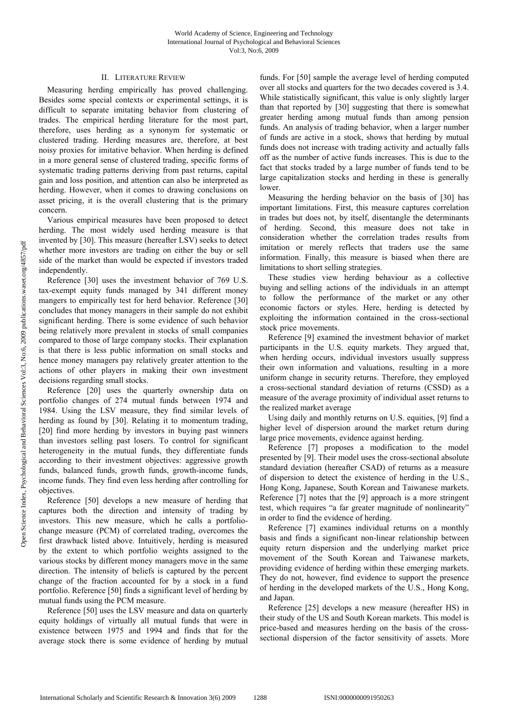# II. LITERATURE REVIEW

Measuring herding empirically has proved challenging. Besides some special contexts or experimental settings, it is difficult to separate imitating behavior from clustering of trades. The empirical herding literature for the most part, therefore, uses herding as a synonym for systematic or clustered trading. Herding measures are, therefore, at best noisy proxies for imitative behavior. When herding is defined in a more general sense of clustered trading, specific forms of systematic trading patterns deriving from past returns, capital gain and loss position, and attention can also be interpreted as herding. However, when it comes to drawing conclusions on asset pricing, it is the overall clustering that is the primary concern.

Various empirical measures have been proposed to detect herding. The most widely used herding measure is that invented by [30]. This measure (hereafter LSV) seeks to detect whether more investors are trading on either the buy or sell side of the market than would be expected if investors traded independently.

Reference [30] uses the investment behavior of 769 U.S. tax-exempt equity funds managed by 341 different money mangers to empirically test for herd behavior. Reference [30] concludes that money managers in their sample do not exhibit significant herding. There is some evidence of such behavior being relatively more prevalent in stocks of small companies compared to those of large company stocks. Their explanation is that there is less public information on small stocks and hence money managers pay relatively greater attention to the actions of other players in making their own investment decisions regarding small stocks.

Reference [20] uses the quarterly ownership data on portfolio changes of 274 mutual funds between 1974 and 1984. Using the LSV measure, they find similar levels of herding as found by [30]. Relating it to momentum trading, [20] find more herding by investors in buying past winners than investors selling past losers. To control for significant heterogeneity in the mutual funds, they differentiate funds according to their investment objectives: aggressive growth funds, balanced funds, growth funds, growth-income funds, income funds. They find even less herding after controlling for objectives.

Reference [50] develops a new measure of herding that captures both the direction and intensity of trading by investors. This new measure, which he calls a portfoliochange measure (PCM) of correlated trading, overcomes the first drawback listed above. Intuitively, herding is measured by the extent to which portfolio weights assigned to the various stocks by different money managers move in the same direction. The intensity of beliefs is captured by the percent change of the fraction accounted for by a stock in a fund portfolio. Reference [50] finds a significant level of herding by mutual funds using the PCM measure.

Reference [50] uses the LSV measure and data on quarterly equity holdings of virtually all mutual funds that were in existence between 1975 and 1994 and finds that for the average stock there is some evidence of herding by mutual funds. For [50] sample the average level of herding computed over all stocks and quarters for the two decades covered is 3.4. While statistically significant, this value is only slightly larger than that reported by [30] suggesting that there is somewhat greater herding among mutual funds than among pension funds. An analysis of trading behavior, when a larger number of funds are active in a stock, shows that herding by mutual funds does not increase with trading activity and actually falls off as the number of active funds increases. This is due to the fact that stocks traded by a large number of funds tend to be large capitalization stocks and herding in these is generally lower.

Measuring the herding behavior on the basis of [30] has important limitations. First, this measure captures correlation in trades but does not, by itself, disentangle the determinants of herding. Second, this measure does not take in consideration whether the correlation trades results from imitation or merely reflects that traders use the same information. Finally, this measure is biased when there are limitations to short selling strategies.

These studies view herding behaviour as a collective buying and selling actions of the individuals in an attempt to follow the performance of the market or any other economic factors or styles. Here, herding is detected by exploiting the information contained in the cross-sectional stock price movements.

Reference [9] examined the investment behavior of market participants in the U.S. equity markets. They argued that, when herding occurs, individual investors usually suppress their own information and valuations, resulting in a more uniform change in security returns. Therefore, they employed a cross-sectional standard deviation of returns (CSSD) as a measure of the average proximity of individual asset returns to the realized market average

Using daily and monthly returns on U.S. equities, [9] find a higher level of dispersion around the market return during large price movements, evidence against herding.

Reference [7] proposes a modification to the model presented by [9]. Their model uses the cross-sectional absolute standard deviation (hereafter CSAD) of returns as a measure of dispersion to detect the existence of herding in the U.S., Hong Kong, Japanese, South Korean and Taiwanese markets. Reference [7] notes that the [9] approach is a more stringent test, which requires "a far greater magnitude of nonlinearity" in order to find the evidence of herding.

Reference [7] examines individual returns on a monthly basis and finds a significant non-linear relationship between equity return dispersion and the underlying market price movement of the South Korean and Taiwanese markets, providing evidence of herding within these emerging markets. They do not, however, find evidence to support the presence of herding in the developed markets of the U.S., Hong Kong, and Japan.

Reference [25] develops a new measure (hereafter HS) in their study of the US and South Korean markets. This model is price-based and measures herding on the basis of the crosssectional dispersion of the factor sensitivity of assets. More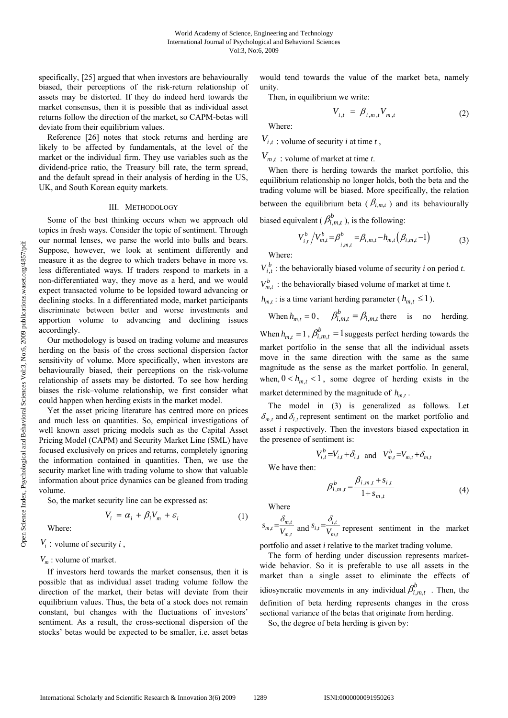specifically, [25] argued that when investors are behaviourally biased, their perceptions of the risk-return relationship of assets may be distorted. If they do indeed herd towards the market consensus, then it is possible that as individual asset returns follow the direction of the market, so CAPM-betas will deviate from their equilibrium values.

Reference [26] notes that stock returns and herding are likely to be affected by fundamentals, at the level of the market or the individual firm. They use variables such as the dividend-price ratio, the Treasury bill rate, the term spread, and the default spread in their analysis of herding in the US, UK, and South Korean equity markets.

#### III. METHODOLOGY

Some of the best thinking occurs when we approach old topics in fresh ways. Consider the topic of sentiment. Through our normal lenses, we parse the world into bulls and bears. Suppose, however, we look at sentiment differently and measure it as the degree to which traders behave in more vs. less differentiated ways. If traders respond to markets in a non-differentiated way, they move as a herd, and we would expect transacted volume to be lopsided toward advancing or declining stocks. In a differentiated mode, market participants discriminate between better and worse investments and apportion volume to advancing and declining issues accordingly.

Our methodology is based on trading volume and measures herding on the basis of the cross sectional dispersion factor sensitivity of volume. More specifically, when investors are behaviourally biased, their perceptions on the risk-volume relationship of assets may be distorted. To see how herding biases the risk–volume relationship, we first consider what could happen when herding exists in the market model.

Yet the asset pricing literature has centred more on prices and much less on quantities. So, empirical investigations of well known asset pricing models such as the Capital Asset Pricing Model (CAPM) and Security Market Line (SML) have focused exclusively on prices and returns, completely ignoring the information contained in quantities. Then, we use the security market line with trading volume to show that valuable information about price dynamics can be gleaned from trading volume.

So, the market security line can be expressed as:

$$
V_i = \alpha_i + \beta_i V_m + \varepsilon_i \tag{1}
$$

Where:

 $V_i$ : volume of security *i*,

### $V_m$ : volume of market.

If investors herd towards the market consensus, then it is possible that as individual asset trading volume follow the direction of the market, their betas will deviate from their equilibrium values. Thus, the beta of a stock does not remain constant, but changes with the fluctuations of investors' sentiment. As a result, the cross-sectional dispersion of the stocks' betas would be expected to be smaller, i.e. asset betas would tend towards the value of the market beta, namely unity.

Then, in equilibrium we write:

$$
V_{i,t} = \beta_{i,m,t} V_{m,t} \tag{2}
$$

Where:

 $V_{i,t}$ : volume of security *i* at time *t*,

# $V_{m,t}$ ; volume of market at time *t*.

When there is herding towards the market portfolio, this equilibrium relationship no longer holds, both the beta and the trading volume will be biased. More specifically, the relation between the equilibrium beta ( $\beta_{i,m,t}$ ) and its behaviourally biased equivalent ( $\beta_{i,m,t}^b$ ), is the following:

$$
V_{i,t}^{b} / V_{m,t}^{b} = \beta_{i,m,t}^{b} = \beta_{i,m,t} - h_{m,t} (\beta_{i,m,t} - 1)
$$
 (3)

Where:

 $V_{i,t}^{b}$  : the behaviorally biased volume of security *i* on period *t*.

 $V_{m,t}^b$ : the behaviorally biased volume of market at time *t*.

 $h_{m,t}$ : is a time variant herding parameter ( $h_{m,t} \leq 1$ ).

When  $h_{m,t} = 0$ ,  $\beta_{i,m,t}^b = \beta_{i,m,t}$  there is no herding. When  $h_{m,t} = 1$ ,  $\beta_{i,m,t}^{b} = 1$  suggests perfect herding towards the market portfolio in the sense that all the individual assets move in the same direction with the same as the same magnitude as the sense as the market portfolio. In general, when,  $0 < h_{m,t} < 1$ , some degree of herding exists in the market determined by the magnitude of  $h_{m,t}$ .

The model in (3) is generalized as follows. Let  $\delta_{m \, t}$  and  $\delta_{i \, t}$  represent sentiment on the market portfolio and asset *i* respectively. Then the investors biased expectation in the presence of sentiment is:

$$
V_{i,t}^b = V_{i,t} + \delta_{i,t} \quad \text{and} \quad V_{m,t}^b = V_{m,t} + \delta_{m,t}
$$

We have then:

$$
\beta_{i,m,t}^b = \frac{\beta_{i,m,t} + s_{i,t}}{1 + s_{m,t}}
$$
\n(4)

Where

 $_{t} = \frac{U_{m}}{V_{m}}$  $s_{m,t} = \frac{\delta_{m,t}}{V_{m,t}}$  and  $s_{i,t} = \frac{\delta_{i,t}}{V_{m,t}}$  $s_{i,t} = \frac{\delta_{i,t}}{V_{m,t}}$  represent sentiment in the market

portfolio and asset *i* relative to the market trading volume.

The form of herding under discussion represents marketwide behavior. So it is preferable to use all assets in the market than a single asset to eliminate the effects of idiosyncratic movements in any individual  $\beta_{i,m,t}^b$  . Then, the definition of beta herding represents changes in the cross sectional variance of the betas that originate from herding.

So, the degree of beta herding is given by: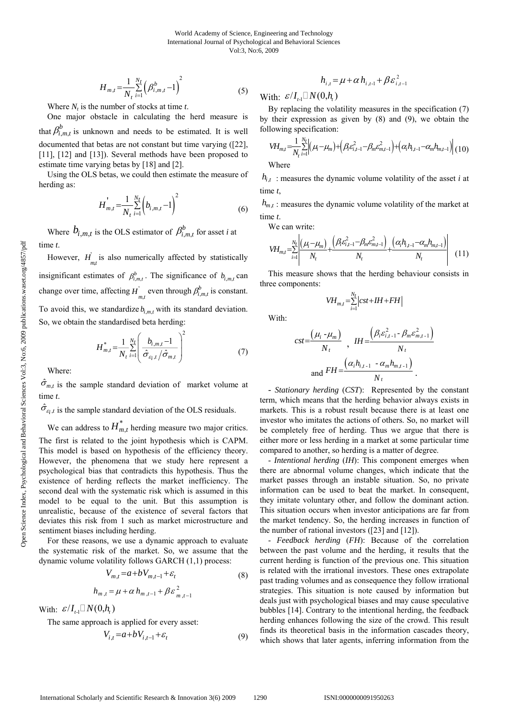$$
H_{m,t} = \frac{1}{N_t} \sum_{i=1}^{N_t} \left(\beta_{i,m,t}^b - 1\right)^2 \tag{5}
$$

Where  $N_t$  is the number of stocks at time  $t$ .

One major obstacle in calculating the herd measure is that  $\beta_{i,m,t}^b$  is unknown and needs to be estimated. It is well documented that betas are not constant but time varying ([22], [11], [12] and [13]). Several methods have been proposed to estimate time varying betas by [18] and [2].

Using the OLS betas, we could then estimate the measure of herding as:

$$
H_{m,t}^{'} = \frac{1}{N_t} \sum_{i=1}^{N_t} \left( b_{i,m,t} - 1 \right)^2 \tag{6}
$$

Where  $b_{i,m,t}$  is the OLS estimator of  $\beta_{i,m,t}^b$  for asset *i* at time *t*.

However,  $H_{m_t}$  is also numerically affected by statistically insignificant estimates of  $\beta_{i,m,t}^b$ . The significance of  $b_{i,m,t}$  can change over time, affecting  $H_{m,t}^{\dagger}$  even through  $\beta_{i,m,t}^b$  is constant. To avoid this, we standardize  $b_{i,m}$  with its standard deviation. So, we obtain the standardised beta herding:

$$
H_{m,t}^{*} = \frac{1}{N_t} \sum_{i=1}^{N_t} \left( \frac{b_{i,m,t} - 1}{\hat{\sigma}_{\varepsilon_{i,t}} / \hat{\sigma}_{m,t}} \right)^2
$$
(7)

Where:

 $\hat{\sigma}_{m,t}$  is the sample standard deviation of market volume at time *t*.

 $\hat{\sigma}_{\varepsilon_i,t}$  is the sample standard deviation of the OLS residuals.

We can address to  $H_{m,t}^*$  herding measure two major critics. The first is related to the joint hypothesis which is CAPM. This model is based on hypothesis of the efficiency theory. However, the phenomena that we study here represent a psychological bias that contradicts this hypothesis. Thus the existence of herding reflects the market inefficiency. The second deal with the systematic risk which is assumed in this model to be equal to the unit. But this assumption is unrealistic, because of the existence of several factors that deviates this risk from 1 such as market microstructure and sentiment biases including herding.

For these reasons, we use a dynamic approach to evaluate the systematic risk of the market. So, we assume that the dynamic volume volatility follows GARCH (1,1) process:

$$
V_{m,t} = a + bV_{m,t-1} + \varepsilon_t
$$
  
\n
$$
h = u + \alpha h + \beta \varepsilon^2
$$
 (8)

$$
h_{m,t} = \mu + \alpha h_{m,t-1} + \beta \varepsilon_{m,t-1}^2
$$

With:  $\mathcal{E}/I_{t-1} \square N(0, h_{t})$ 

The same approach is applied for every asset:

$$
V_{i,t} = a + bV_{i,t-1} + \varepsilon_t \tag{9}
$$

$$
h_{i,t} = \mu + \alpha h_{i,t-1} + \beta \varepsilon_{i,t-1}^2
$$

With:  $\mathcal{E}/I_{t,1} \square N(0, h_{t})$ 

By replacing the volatility measures in the specification (7) by their expression as given by (8) and (9), we obtain the following specification: 1 *Nt*

$$
VH_{m,l} = \frac{1}{N_l} \sum_{i=1}^{N_l} \left( \mu_i - \mu_m \right) + \left( \beta_i \varepsilon_{i,l-1}^2 - \beta_m \varepsilon_{m,l-1}^2 \right) + \left( \alpha_i h_{i,l-1} - \alpha_m h_{m,l-1} \right) \left( 10 \right)
$$

Where

 $h_{i,t}$ : measures the dynamic volume volatility of the asset *i* at time *t*,

 $h_{m,t}$ ; measures the dynamic volume volatility of the market at time *t*.

We can write:

$$
V\!H_{m,t} = \sum_{i=1}^{N_t} \left| \frac{(\mu_i - \mu_m)}{N_t} + \frac{(\beta_i \varepsilon_{i,t-1}^2 - \beta_m \varepsilon_{m,t-1}^2)}{N_t} + \frac{(\alpha_i h_{i,t-1} - \alpha_m h_{m,t-1})}{N_t} \right| \tag{11}
$$

This measure shows that the herding behaviour consists in three components:

$$
VH_{m,t} = \sum_{i=1}^{N_t} \left| cst + IH + FH \right|
$$

With:

$$
cst = \frac{(\mu_i - \mu_m)}{N_t}, \quad IH = \frac{(\beta_i \varepsilon_{i,t-1}^2 - \beta_m \varepsilon_{m,t-1}^2)}{N_t}
$$
  
and 
$$
FH = \frac{(\alpha_i h_{i,t-1} - \alpha_m h_{m,t-1})}{N_t}.
$$

- *Stationary herding* (*CST*):Represented by the constant term, which means that the herding behavior always exists in markets. This is a robust result because there is at least one investor who imitates the actions of others. So, no market will be completely free of herding. Thus we argue that there is either more or less herding in a market at some particular time compared to another, so herding is a matter of degree.

- *Intentional herding* (*IH*): This component emerges when there are abnormal volume changes, which indicate that the market passes through an instable situation. So, no private information can be used to beat the market. In consequent, they imitate voluntary other, and follow the dominant action. This situation occurs when investor anticipations are far from the market tendency. So, the herding increases in function of the number of rational investors ([23] and [12]).

- *Feedback herding* (*FH*): Because of the correlation between the past volume and the herding, it results that the current herding is function of the previous one. This situation is related with the irrational investors. These ones extrapolate past trading volumes and as consequence they follow irrational strategies. This situation is note caused by information but deals just with psychological biases and may cause speculative bubbles [14]. Contrary to the intentional herding, the feedback herding enhances following the size of the crowd. This result finds its theoretical basis in the information cascades theory, which shows that later agents, inferring information from the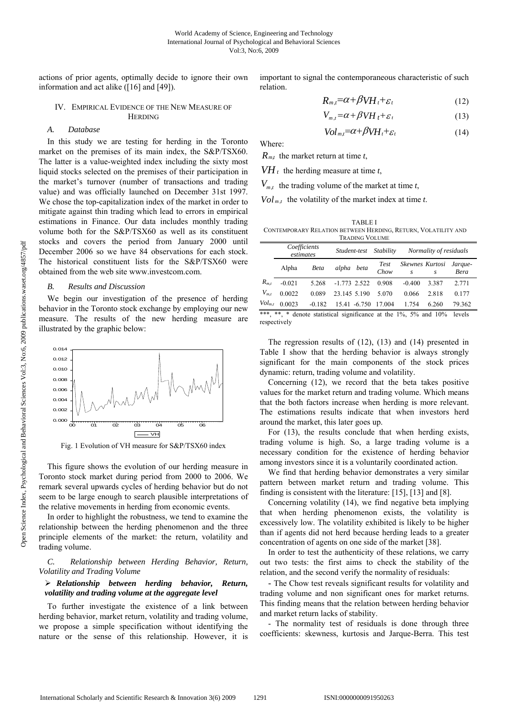actions of prior agents, optimally decide to ignore their own information and act alike ([16] and [49]).

#### IV. EMPIRICAL EVIDENCE OF THE NEW MEASURE OF HERDING

# *A. Database*

In this study we are testing for herding in the Toronto market on the premises of its main index, the S&P/TSX60. The latter is a value-weighted index including the sixty most liquid stocks selected on the premises of their participation in the market's turnover (number of transactions and trading value) and was officially launched on December 31st 1997. We chose the top-capitalization index of the market in order to mitigate against thin trading which lead to errors in empirical estimations in Finance. Our data includes monthly trading volume both for the S&P/TSX60 as well as its constituent stocks and covers the period from January 2000 until December 2006 so we have 84 observations for each stock. The historical constituent lists for the S&P/TSX60 were obtained from the web site www.investcom.com.

#### *B. Results and Discussion*

We begin our investigation of the presence of herding behavior in the Toronto stock exchange by employing our new measure. The results of the new herding measure are illustrated by the graphic below:



Fig. 1 Evolution of VH measure for S&P/TSX60 index

This figure shows the evolution of our herding measure in Toronto stock market during period from 2000 to 2006. We remark several upwards cycles of herding behavior but do not seem to be large enough to search plausible interpretations of the relative movements in herding from economic events.

In order to highlight the robustness, we tend to examine the relationship between the herding phenomenon and the three principle elements of the market: the return, volatility and trading volume.

*C. Relationship between Herding Behavior, Return, Volatility and Trading Volume* 

# ¾ *Relationship between herding behavior, Return, volatility and trading volume at the aggregate level*

To further investigate the existence of a link between herding behavior, market return, volatility and trading volume, we propose a simple specification without identifying the nature or the sense of this relationship. However, it is important to signal the contemporaneous characteristic of such relation.

$$
R_{m,t} = \alpha + \beta V H_t + \varepsilon_t \tag{12}
$$

$$
V_{m,t} = \alpha + \beta V H_t + \varepsilon_t \tag{13}
$$

$$
Vol_{m,t} = \alpha + \beta V H_t + \varepsilon_t \tag{14}
$$

Where:

*Rm,t* the market return at time *t*,

 $VH_t$  the herding measure at time *t*,

 $V_{m t}$ , the trading volume of the market at time *t*,

 $Vol_{m,t}$  the volatility of the market index at time *t*.

TABLE I CONTEMPORARY RELATION BETWEEN HERDING, RETURN, VOLATILITY AND TRADING VOLUME

|             | Coefficients<br>estimates |                                                                 | Stability<br>Student-test |              | Normality of residuals |                                     |       |                 |
|-------------|---------------------------|-----------------------------------------------------------------|---------------------------|--------------|------------------------|-------------------------------------|-------|-----------------|
|             | Alpha                     | Beta                                                            | alpha beta                |              | Test<br>Chow           | Skewnes Kurtosi<br>$\boldsymbol{S}$ | S.    | Jarque-<br>Bera |
| $R_{m,t}$   | $-0.021$                  | 5.268                                                           | $-1.773$ 2.522            |              | 0.908                  | $-0.400$                            | 3.387 | 2.771           |
| $V_{m,t}$   | 0.0022                    | 0.089                                                           | 23.145 5.190              |              | 5.070                  | 0.066                               | 2.818 | 0.177           |
| $Vol_{m,t}$ | 0.0023                    | $-0.182$                                                        |                           | 15.41 -6.750 | 17.004                 | 1.754                               | 6.260 | 79.362          |
| ***         | **                        | $*$ denote statistical significance at the $10/6$ 5% and $10\%$ |                           |              |                        |                                     |       | وامتعوا         |

<sup>\*\*\*, \*\*, \*</sup> denote statistical significance at the 1%, 5% and 10% levels respectively

The regression results of (12), (13) and (14) presented in Table I show that the herding behavior is always strongly significant for the main components of the stock prices dynamic: return, trading volume and volatility.

Concerning (12), we record that the beta takes positive values for the market return and trading volume. Which means that the both factors increase when herding is more relevant. The estimations results indicate that when investors herd around the market, this later goes up.

For (13), the results conclude that when herding exists, trading volume is high. So, a large trading volume is a necessary condition for the existence of herding behavior among investors since it is a voluntarily coordinated action.

We find that herding behavior demonstrates a very similar pattern between market return and trading volume. This finding is consistent with the literature: [15], [13] and [8].

Concerning volatility (14), we find negative beta implying that when herding phenomenon exists, the volatility is excessively low. The volatility exhibited is likely to be higher than if agents did not herd because herding leads to a greater concentration of agents on one side of the market [38].

In order to test the authenticity of these relations, we carry out two tests: the first aims to check the stability of the relation, and the second verify the normality of residuals:

- The Chow test reveals significant results for volatility and trading volume and non significant ones for market returns. This finding means that the relation between herding behavior and market return lacks of stability.

- The normality test of residuals is done through three coefficients: skewness, kurtosis and Jarque-Berra. This test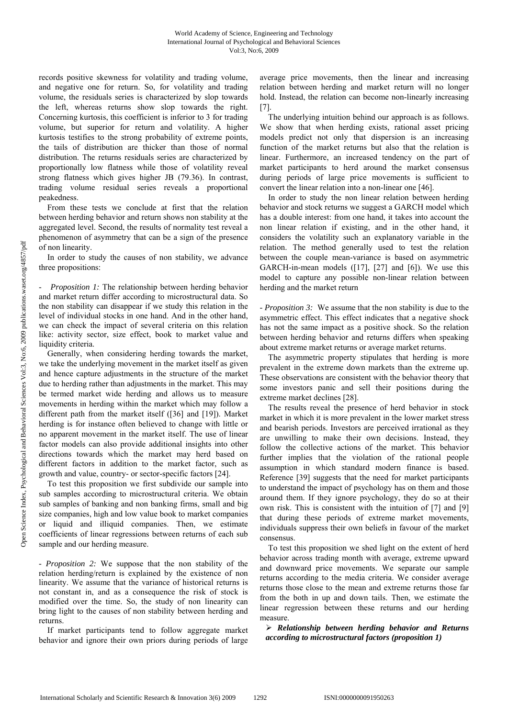records positive skewness for volatility and trading volume, and negative one for return. So, for volatility and trading volume, the residuals series is characterized by slop towards the left, whereas returns show slop towards the right. Concerning kurtosis, this coefficient is inferior to 3 for trading volume, but superior for return and volatility. A higher kurtosis testifies to the strong probability of extreme points, the tails of distribution are thicker than those of normal distribution. The returns residuals series are characterized by proportionally low flatness while those of volatility reveal strong flatness which gives higher JB (79.36). In contrast, trading volume residual series reveals a proportional peakedness.

From these tests we conclude at first that the relation between herding behavior and return shows non stability at the aggregated level. Second, the results of normality test reveal a phenomenon of asymmetry that can be a sign of the presence of non linearity.

In order to study the causes of non stability, we advance three propositions:

*Proposition 1:* The relationship between herding behavior and market return differ according to microstructural data. So the non stability can disappear if we study this relation in the level of individual stocks in one hand. And in the other hand, we can check the impact of several criteria on this relation like: activity sector, size effect, book to market value and liquidity criteria.

Generally, when considering herding towards the market, we take the underlying movement in the market itself as given and hence capture adjustments in the structure of the market due to herding rather than adjustments in the market. This may be termed market wide herding and allows us to measure movements in herding within the market which may follow a different path from the market itself ([36] and [19]). Market herding is for instance often believed to change with little or no apparent movement in the market itself. The use of linear factor models can also provide additional insights into other directions towards which the market may herd based on different factors in addition to the market factor, such as growth and value, country- or sector-specific factors [24].

To test this proposition we first subdivide our sample into sub samples according to microstructural criteria. We obtain sub samples of banking and non banking firms, small and big size companies, high and low value book to market companies liquid and illiquid companies. Then, we estimate coefficients of linear regressions between returns of each sub sample and our herding measure.

*- Proposition 2:* We suppose that the non stability of the relation herding/return is explained by the existence of non linearity. We assume that the variance of historical returns is not constant in, and as a consequence the risk of stock is modified over the time. So, the study of non linearity can bring light to the causes of non stability between herding and returns.

If market participants tend to follow aggregate market behavior and ignore their own priors during periods of large

average price movements, then the linear and increasing relation between herding and market return will no longer hold. Instead, the relation can become non-linearly increasing [7].

The underlying intuition behind our approach is as follows. We show that when herding exists, rational asset pricing models predict not only that dispersion is an increasing function of the market returns but also that the relation is linear. Furthermore, an increased tendency on the part of market participants to herd around the market consensus during periods of large price movements is sufficient to convert the linear relation into a non-linear one [46].

In order to study the non linear relation between herding behavior and stock returns we suggest a GARCH model which has a double interest: from one hand, it takes into account the non linear relation if existing, and in the other hand, it considers the volatility such an explanatory variable in the relation. The method generally used to test the relation between the couple mean-variance is based on asymmetric GARCH-in-mean models ([17], [27] and [6]). We use this model to capture any possible non-linear relation between herding and the market return

*- Proposition 3:* We assume that the non stability is due to the asymmetric effect. This effect indicates that a negative shock has not the same impact as a positive shock. So the relation between herding behavior and returns differs when speaking about extreme market returns or average market returns.

The asymmetric property stipulates that herding is more prevalent in the extreme down markets than the extreme up. These observations are consistent with the behavior theory that some investors panic and sell their positions during the extreme market declines [28].

The results reveal the presence of herd behavior in stock market in which it is more prevalent in the lower market stress and bearish periods. Investors are perceived irrational as they are unwilling to make their own decisions. Instead, they follow the collective actions of the market. This behavior further implies that the violation of the rational people assumption in which standard modern finance is based. Reference [39] suggests that the need for market participants to understand the impact of psychology has on them and those around them. If they ignore psychology, they do so at their own risk. This is consistent with the intuition of [7] and [9] that during these periods of extreme market movements, individuals suppress their own beliefs in favour of the market consensus.

To test this proposition we shed light on the extent of herd behavior across trading month with average, extreme upward and downward price movements. We separate our sample returns according to the media criteria. We consider average returns those close to the mean and extreme returns those far from the both in up and down tails. Then, we estimate the linear regression between these returns and our herding measure.

¾ *Relationship between herding behavior and Returns according to microstructural factors (proposition 1)*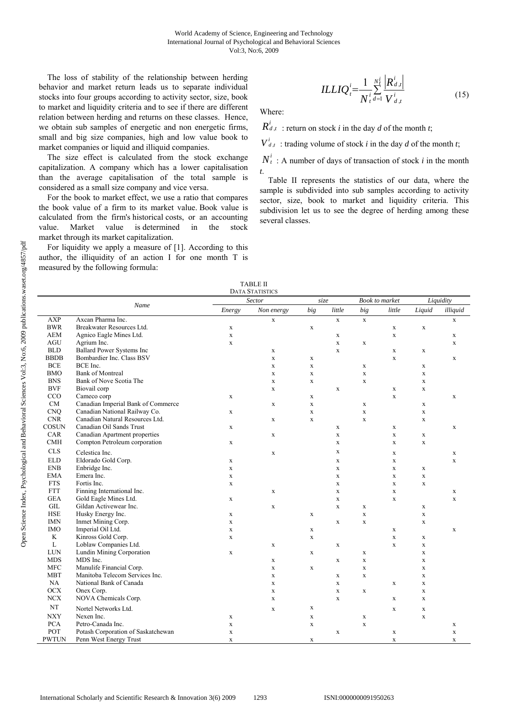The loss of stability of the relationship between herding behavior and market return leads us to separate individual stocks into four groups according to activity sector, size, book to market and liquidity criteria and to see if there are different relation between herding and returns on these classes. Hence, we obtain sub samples of energetic and non energetic firms, small and big size companies, high and low value book to market companies or liquid and illiquid companies.

The size effect is calculated from the stock exchange capitalization. A company which has a lower capitalisation than the average capitalisation of the total sample is considered as a small size company and vice versa.

For the book to market effect, we use a ratio that compares the book value of a firm to its market value. Book value is calculated from the firm's historical costs, or an accounting value. Market value is determined in the stock market through its market capitalization.

For liquidity we apply a measure of [1]. According to this author, the illiquidity of an action I for one month T is measured by the following formula:

$$
ILLIQ_i^i = \frac{1}{N_i^i} \sum_{i=1}^{N_i^i} \frac{\left| R_{d,i}^i \right|}{V_{d,i}^i}
$$
\n(15)

Where:

 $R_{d,t}^{i}$ : return on stock *i* in the day *d* of the month *t*;

 $V^i_{d,t}$ : trading volume of stock *i* in the day *d* of the month *t*;

 $N_t^i$ : A number of days of transaction of stock *i* in the month *t*.

Table II represents the statistics of our data, where the sample is subdivided into sub samples according to activity sector, size, book to market and liquidity criteria. This subdivision let us to see the degree of herding among these several classes.

|              |                                    |             | <b>TABLE II</b><br><b>DATA STATISTICS</b> |             |              |                       |              |             |             |
|--------------|------------------------------------|-------------|-------------------------------------------|-------------|--------------|-----------------------|--------------|-------------|-------------|
|              | Name                               |             | Sector                                    | size        |              | <b>Book</b> to market |              |             | Liquidity   |
|              |                                    | Energy      | Non energy                                | big         | little       | big                   | little       | Liquid      | illiquid    |
| <b>AXP</b>   | Axcan Pharma Inc.                  |             | $\mathbf X$                               |             | $\mathbf{x}$ | $\mathbf X$           |              |             | $\mathbf x$ |
| <b>BWR</b>   | Breakwater Resources Ltd.          | $\mathbf X$ |                                           | $\mathbf X$ |              |                       | $\mathbf X$  | $\mathbf X$ |             |
| <b>AEM</b>   | Agnico Eagle Mines Ltd.            | $\mathbf X$ |                                           |             | $\mathbf X$  |                       | $\mathbf{x}$ |             | $\mathbf X$ |
| AGU          | Agrium Inc.                        | $\mathbf X$ |                                           |             | $\mathbf X$  | $\mathbf X$           |              |             | $\mathbf x$ |
| <b>BLD</b>   | <b>Ballard Power Systems Inc</b>   |             | $\mathbf X$                               |             | $\mathbf X$  |                       | $\mathbf X$  | $\mathbf X$ |             |
| <b>BBDB</b>  | Bombardier Inc. Class BSV          |             | $\mathbf x$                               | $\mathbf X$ |              |                       | $\mathbf x$  |             | $\mathbf X$ |
| <b>BCE</b>   | BCE Inc.                           |             | $\mathbf X$                               | $\mathbf x$ |              | X                     |              | $\mathbf X$ |             |
| <b>BMO</b>   | <b>Bank of Montreal</b>            |             | $\mathbf X$                               | $\mathbf X$ |              | $\mathbf X$           |              | $\mathbf X$ |             |
| <b>BNS</b>   | Bank of Nove Scotia The            |             | $\mathbf X$                               | $\mathbf X$ |              | X                     |              | $\mathbf X$ |             |
| <b>BVF</b>   | Biovail corp                       |             | $\mathbf X$                               |             | $\mathbf X$  |                       | $\mathbf X$  | $\mathbf X$ |             |
| CCO          | Cameco corp                        | $\mathbf X$ |                                           | $\mathbf X$ |              |                       | $\mathbf{x}$ |             | $\mathbf x$ |
| CM           | Canadian Imperial Bank of Commerce |             | $\mathbf X$                               | $\mathbf X$ |              | $\mathbf X$           |              | $\mathbf X$ |             |
| <b>CNQ</b>   | Canadian National Railway Co.      | X           |                                           | $\mathbf x$ |              | $\mathbf X$           |              | $\mathbf X$ |             |
| <b>CNR</b>   | Canadian Natural Resources Ltd.    |             | $\mathbf X$                               | $\mathbf x$ |              | $\mathbf x$           |              | $\mathbf X$ |             |
| <b>COSUN</b> | Canadian Oil Sands Trust           | $\mathbf X$ |                                           |             | $\mathbf X$  |                       | $\mathbf X$  |             | $\mathbf X$ |
| CAR          | Canadian Apartment properties      |             | $\mathbf X$                               |             | $\mathbf X$  |                       | $\mathbf x$  | $\mathbf X$ |             |
| <b>CMH</b>   | Compton Petroleum corporation      | $\mathbf X$ |                                           |             | $\mathbf X$  |                       | $\mathbf X$  | $\mathbf X$ |             |
| <b>CLS</b>   | Celestica Inc.                     |             | $\mathbf X$                               |             | $\mathbf X$  |                       | $\mathbf X$  |             | $\mathbf X$ |
| <b>ELD</b>   | Eldorado Gold Corp.                | $\mathbf X$ |                                           |             | $\mathbf X$  |                       | $\mathbf x$  |             | $\mathbf x$ |
| <b>ENB</b>   | Enbridge Inc.                      | $\mathbf X$ |                                           |             | $\mathbf X$  |                       | $\mathbf X$  | $\mathbf X$ |             |
| <b>EMA</b>   | Emera Inc.                         | $\mathbf X$ |                                           |             | $\mathbf X$  |                       | $\mathbf x$  | $\mathbf X$ |             |
| <b>FTS</b>   | Fortis Inc.                        | $\mathbf x$ |                                           |             | $\mathbf{x}$ |                       | $\mathbf x$  | $\mathbf X$ |             |
| <b>FTT</b>   | Finning International Inc.         |             | $\mathbf X$                               |             | $\mathbf X$  |                       | $\mathbf x$  |             | $\mathbf X$ |
| <b>GEA</b>   | Gold Eagle Mines Ltd.              | $\mathbf X$ |                                           |             | $\mathbf X$  |                       | $\mathbf x$  |             | $\mathbf X$ |
| GIL          | Gildan Activewear Inc.             |             | $\mathbf x$                               |             | $\mathbf X$  | X                     |              | $\mathbf X$ |             |
| <b>HSE</b>   | Husky Energy Inc.                  | $\mathbf x$ |                                           | $\mathbf x$ |              | $\mathbf{x}$          |              | $\mathbf X$ |             |
| <b>IMN</b>   | Inmet Mining Corp.                 | $\mathbf X$ |                                           |             | $\mathbf X$  | $\mathbf X$           |              | $\mathbf X$ |             |
| <b>IMO</b>   | Imperial Oil Ltd.                  | $\mathbf X$ |                                           | $\mathbf X$ |              |                       | $\mathbf X$  |             | $\mathbf X$ |
| K            | Kinross Gold Corp.                 | $\mathbf X$ |                                           | $\mathbf x$ |              |                       | $\mathbf x$  | $\mathbf X$ |             |
| L            | Loblaw Companies Ltd.              |             | $\mathbf X$                               |             | $\mathbf X$  |                       | $\mathbf x$  | $\mathbf X$ |             |
| <b>LUN</b>   | Lundin Mining Corporation          | $\mathbf X$ |                                           | $\mathbf X$ |              | $\mathbf X$           |              | $\mathbf X$ |             |
| <b>MDS</b>   | MDS Inc.                           |             | X                                         |             | $\mathbf X$  | $\mathbf X$           |              | $\mathbf X$ |             |
| <b>MFC</b>   | Manulife Financial Corp.           |             | $\mathbf X$                               | $\mathbf X$ |              | $\mathbf x$           |              | $\mathbf X$ |             |
| <b>MBT</b>   | Manitoba Telecom Services Inc.     |             | $\mathbf X$                               |             | $\mathbf X$  | $\mathbf X$           |              | $\mathbf X$ |             |
| NA           | National Bank of Canada            |             | $\mathbf X$                               |             | $\mathbf X$  |                       | $\mathbf X$  | $\mathbf X$ |             |
| <b>OCX</b>   | Onex Corp.                         |             | $\mathbf X$                               |             | $\mathbf{x}$ | X                     |              | $\mathbf X$ |             |
| NCX          | NOVA Chemicals Corp.               |             | $\mathbf X$                               |             | $\mathbf X$  |                       | $\mathbf X$  | $\mathbf X$ |             |
| NT           | Nortel Networks Ltd.               |             | $\mathbf X$                               | $\mathbf X$ |              |                       | X            | $\mathbf X$ |             |
| <b>NXY</b>   | Nexen Inc.                         | $\mathbf X$ |                                           | $\mathbf X$ |              | $\mathbf x$           |              | $\mathbf X$ |             |
| <b>PCA</b>   | Petro-Canada Inc.                  | $\mathbf X$ |                                           | $\mathbf x$ |              | $\mathbf x$           |              |             | $\mathbf X$ |
| POT          | Potash Corporation of Saskatchewan | $\mathbf X$ |                                           |             | $\mathbf{X}$ |                       | $\mathbf X$  |             | $\mathbf x$ |
| PWTUN        | Penn West Energy Trust             | $\mathbf x$ |                                           | X           |              |                       | $\mathbf x$  |             | $\mathbf X$ |
|              |                                    |             |                                           |             |              |                       |              |             |             |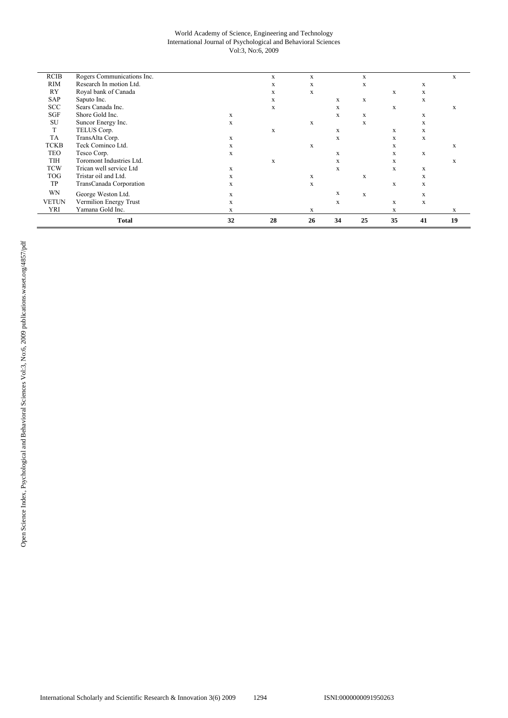#### World Academy of Science, Engineering and Technology International Journal of Psychological and Behavioral Sciences Vol:3, No:6, 2009

|              | <b>Total</b>               | 32          | 28 | 26          | 34          | 25          | 35          | 41 | 19 |
|--------------|----------------------------|-------------|----|-------------|-------------|-------------|-------------|----|----|
| YRI          | Yamana Gold Inc.           | X           |    | X           |             |             | X           |    | X  |
| <b>VETUN</b> | Vermilion Energy Trust     | X           |    |             | X           |             | X           | X  |    |
| WN           | George Weston Ltd.         | $\mathbf X$ |    |             | X           | $\mathbf X$ |             | X  |    |
| TP           | TransCanada Corporation    | X           |    | $\mathbf x$ |             |             | X           | X  |    |
| <b>TOG</b>   | Tristar oil and Ltd.       | X           |    | X           |             | $\mathbf X$ |             | X  |    |
| <b>TCW</b>   | Trican well service Ltd    | X           |    |             | $\mathbf X$ |             | X           | X  |    |
| TIH          | Toromont Industries Ltd.   |             | X  |             | X           |             | X           |    | X  |
| <b>TEO</b>   | Tesco Corp.                | X           |    |             | X           |             | X           | X  |    |
| <b>TCKB</b>  | Teck Cominco Ltd.          | X           |    | X           |             |             | X           |    | X  |
| TA           | TransAlta Corp.            | X           |    |             | X           |             | X           | X  |    |
| T            | TELUS Corp.                |             | X  |             | X           |             | X           | X  |    |
| SU           | Suncor Energy Inc.         | X           |    | X           |             | $\mathbf x$ |             | X  |    |
| SGF          | Shore Gold Inc.            | X           |    |             | X           | X           |             | X  |    |
| <b>SCC</b>   | Sears Canada Inc.          |             | X  |             | X           |             | $\mathbf X$ |    | X  |
| SAP          | Saputo Inc.                |             | X  |             | X           | $\mathbf X$ |             | X  |    |
| RY           | Royal bank of Canada       |             | X  | X           |             |             | X           | X  |    |
| RIM          | Research In motion Ltd.    |             | X  | X           |             | X           |             | X  |    |
| <b>RCIB</b>  | Rogers Communications Inc. |             | X  | X           |             | X           |             |    | X  |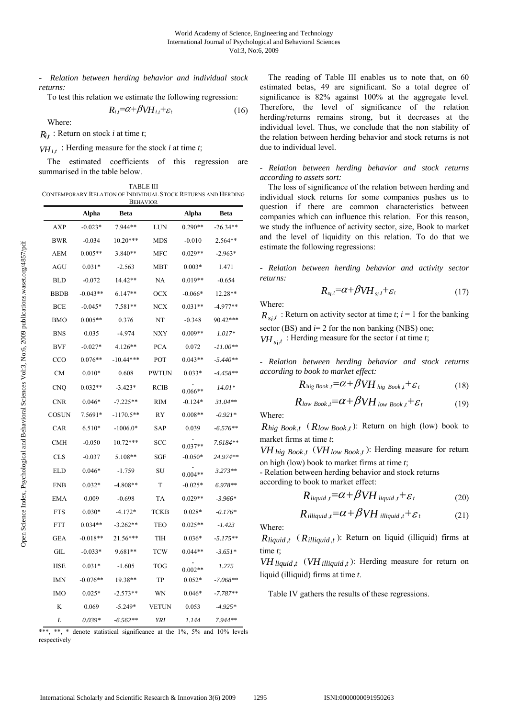- *Relation between herding behavior and individual stock returns:* 

To test this relation we estimate the following regression:

$$
R_{i,t} = \alpha + \beta V H_{i,t} + \varepsilon_t \tag{16}
$$

Where:

 $R_{i,t}$ : Return on stock *i* at time *t*;

 $VH_{i,t}$ : Herding measure for the stock *i* at time *t*;

The estimated coefficients of this regression are summarised in the table below.

TABLE III CONTEMPORARY RELATION OF INDIVIDUAL STOCK RETURNS AND HERDING BEHAVIOR

|             | Alpha      | <b>DEFIAVION</b><br>Beta |              | Alpha     | <b>Beta</b> |
|-------------|------------|--------------------------|--------------|-----------|-------------|
| AXP         | $-0.023*$  | 7.944**                  | LUN          | $0.290**$ | $-26.34**$  |
| <b>BWR</b>  | $-0.034$   | $10.20***$               | <b>MDS</b>   | $-0.010$  | $2.564**$   |
| AEM         | $0.005**$  | $3.840**$                | <b>MFC</b>   | $0.029**$ | $-2.963*$   |
| <b>AGU</b>  | $0.031*$   | $-2.563$                 | MBT          | $0.003*$  | 1.471       |
| BLD         | $-0.072$   | 14.42**                  | NA           | $0.019**$ | $-0.654$    |
| <b>BBDB</b> | $-0.043**$ | $6.147**$                | <b>OCX</b>   | $-0.066*$ | 12.28**     |
| <b>BCE</b>  | $-0.045*$  | $7.581**$                | <b>NCX</b>   | $0.031**$ | -4.977**    |
| BMO         | $0.005**$  | 0.376                    | NT           | $-0.348$  | 90.42***    |
| <b>BNS</b>  | 0.035      | $-4.974$                 | NXY          | $0.009**$ | $1.017*$    |
| <b>BVF</b>  | $-0.027*$  | $4.126**$                | <b>PCA</b>   | 0.072     | -11.00**    |
| CCO         | $0.076**$  | $-10.44***$              | POT          | $0.043**$ | -5.440**    |
| <b>CM</b>   | $0.010*$   | 0.608                    | <b>PWTUN</b> | $0.033*$  | $-4.458**$  |
| CNO         | $0.032**$  | $-3.423*$                | RCIB         | $0.066**$ | 14.01*      |
| <b>CNR</b>  | $0.046*$   | $-7.225**$               | <b>RIM</b>   | $-0.124*$ | $31.04**$   |
| COSUN       | 7.5691*    | $-1170.5**$              | RY           | $0.008**$ | $-0.921*$   |
| CAR         | 6.510*     | $-1006.0*$               | SAP          | 0.039     | $-6.576**$  |
| <b>CMH</b>  | $-0.050$   | $10.72***$               | <b>SCC</b>   | $0.037**$ | 7.6184**    |
| <b>CLS</b>  | $-0.037$   | 5.108**                  | SGF          | $-0.050*$ | 24.974**    |
| ELD         | $0.046*$   | -1.759                   | SU           | $0.004**$ | $3.273**$   |
| <b>ENB</b>  | $0.032*$   | $-4.808**$               | T            | $-0.025*$ | $6.978**$   |
| <b>EMA</b>  | 0.009      | $-0.698$                 | TA           | $0.029**$ | $-3.966*$   |
| <b>FTS</b>  | $0.030*$   | $-4.172*$                | <b>TCKB</b>  | $0.028*$  | $-0.176*$   |
| <b>FTT</b>  | $0.034**$  | $-3.262**$               | TEO          | $0.025**$ | -1.423      |
| GEA         | $-0.018**$ | 21.56***                 | TIH          | $0.036*$  | $-5.175**$  |
| GIL         | $-0.033*$  | $9.681**$                | <b>TCW</b>   | $0.044**$ | $-3.651*$   |
| <b>HSE</b>  | $0.031*$   | $-1.605$                 | <b>TOG</b>   | $0.002**$ | 1.275       |
| IMN         | $-0.076**$ | 19.38**                  | TP           | $0.052*$  | $-7.068**$  |
| <b>IMO</b>  | $0.025*$   | $-2.573**$               | WN           | $0.046*$  | $-7.787**$  |
| K           | 0.069      | $-5.249*$                | <b>VETUN</b> | 0.053     | $-4.925*$   |
| L           | $0.039*$   | $-6.562**$               | YRI          | 1.144     | 7.944**     |

 $**$ ,  $**$ ,  $*$  denote statistical significance at the  $1\%$ ,  $5\%$  and  $10\%$  levels respectively

The reading of Table III enables us to note that, on 60 estimated betas, 49 are significant. So a total degree of significance is 82% against 100% at the aggregate level. Therefore, the level of significance of the relation herding/returns remains strong, but it decreases at the individual level. Thus, we conclude that the non stability of the relation between herding behavior and stock returns is not due to individual level.

## *- Relation between herding behavior and stock returns according to assets sort:*

The loss of significance of the relation between herding and individual stock returns for some companies pushes us to question if there are common characteristics between companies which can influence this relation. For this reason, we study the influence of activity sector, size, Book to market and the level of liquidity on this relation. To do that we estimate the following regressions:

- *Relation between herding behavior and activity sector returns:* 

$$
R_{s_i,t} = \alpha + \beta V H_{s_i,t} + \varepsilon_t \tag{17}
$$

Where:

 $R_{s,i,t}$ : Return on activity sector at time *t*; *i* = 1 for the banking sector (BS) and *i*= 2 for the non banking (NBS) one; *VH*  $_{s,i}$  : Herding measure for the sector *i* at time *t*;

- *Relation between herding behavior and stock returns according to book to market effect:* 

$$
R_{\text{hig} \, Book, t} = \alpha + \beta V H_{\text{hig} \, Book, t} + \varepsilon_t \tag{18}
$$

$$
R_{low\,Book, t} = \alpha + \beta VH_{low\,Book, t} + \varepsilon_t \tag{19}
$$

Where:

 $R_{high}$  *Book,t* ( $R_{low}$  *Book,t*): Return on high (low) book to market firms at time *t*;

 $VH_{hig}$  *Book,t* ( $VH_{low}$  *Book,t*): Herding measure for return on high (low) book to market firms at time *t*;

- Relation between herding behavior and stock returns according to book to market effect:

$$
R_{liquid,t} = \alpha + \beta V H_{liquid,t} + \varepsilon_t
$$
 (20)

$$
R_{illiquid, t} = \alpha + \beta V H_{illiquid, t} + \varepsilon_t
$$
 (21)

Where:

 $R_{liquid,t}$  ( $R_{illiquid,t}$ ): Return on liquid (illiquid) firms at time *t*;

 $VH$  *liquid ,t*  $(VH$  *illiquid ,t* ): Herding measure for return on liquid (illiquid) firms at time *t*.

Table IV gathers the results of these regressions.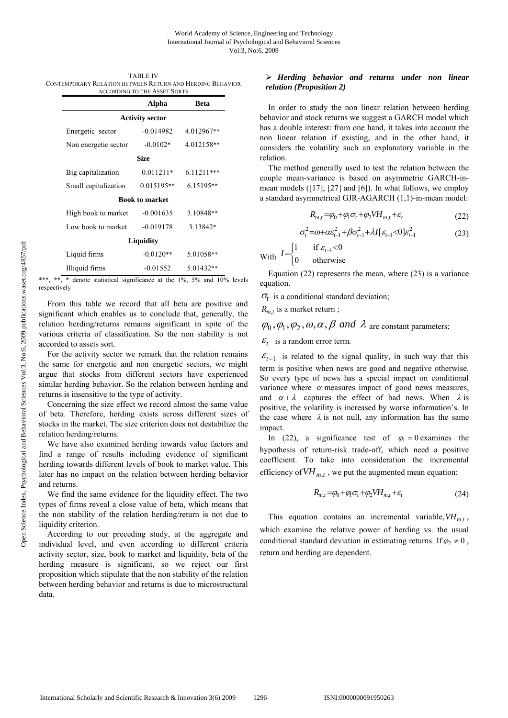| <b>TABLE IV</b>                                           |
|-----------------------------------------------------------|
| CONTEMPORARY RELATION BETWEEN RETURN AND HERDING BEHAVIOR |
| <b>ACCORDING TO THE ASSET SORTS</b>                       |

|                        | Alpha                 | Beta         |  |  |  |  |  |
|------------------------|-----------------------|--------------|--|--|--|--|--|
| <b>Activity sector</b> |                       |              |  |  |  |  |  |
| Energetic sector       | $-0.014982$           | 4.012967**   |  |  |  |  |  |
| Non energetic sector   | $-0.0102*$            | 4.012158**   |  |  |  |  |  |
| Size                   |                       |              |  |  |  |  |  |
| Big capitalization     | $0.011211*$           | $6.11211***$ |  |  |  |  |  |
| Small capitalization   | $0.015195**$          | $6.15195**$  |  |  |  |  |  |
|                        | <b>Book to market</b> |              |  |  |  |  |  |
| High book to market    | $-0.001635$           | 3.10848**    |  |  |  |  |  |
| Low book to market     | $-0.019178$           | 3.13842*     |  |  |  |  |  |
| Liquidity              |                       |              |  |  |  |  |  |
| Liquid firms           | $-0.0120**$           | 5.01058**    |  |  |  |  |  |
| Illiquid firms         | $-0.01552$            | $5.01432**$  |  |  |  |  |  |

\*\*\*, \*\*, \* denote statistical significance at the 1%, 5% and 10% levels respectively

From this table we record that all beta are positive and significant which enables us to conclude that, generally, the relation herding/returns remains significant in spite of the various criteria of classification. So the non stability is not accorded to assets sort.

For the activity sector we remark that the relation remains the same for energetic and non energetic sectors, we might argue that stocks from different sectors have experienced similar herding behavior. So the relation between herding and returns is insensitive to the type of activity.

Concerning the size effect we record almost the same value of beta. Therefore, herding exists across different sizes of stocks in the market. The size criterion does not destabilize the relation herding/returns.

We have also examined herding towards value factors and find a range of results including evidence of significant herding towards different levels of book to market value. This later has no impact on the relation between herding behavior and returns.

We find the same evidence for the liquidity effect. The two types of firms reveal a close value of beta, which means that the non stability of the relation herding/return is not due to liquidity criterion.

According to our preceding study, at the aggregate and individual level, and even according to different criteria activity sector, size, book to market and liquidity, beta of the herding measure is significant, so we reject our first proposition which stipulate that the non stability of the relation between herding behavior and returns is due to microstructural data.

# ¾ *Herding behavior and returns under non linear relation (Proposition 2)*

In order to study the non linear relation between herding behavior and stock returns we suggest a GARCH model which has a double interest: from one hand, it takes into account the non linear relation if existing, and in the other hand, it considers the volatility such an explanatory variable in the relation.

The method generally used to test the relation between the couple mean-variance is based on asymmetric GARCH-inmean models ([17], [27] and [6]). In what follows, we employ a standard asymmetrical GJR-AGARCH (1,1)-in-mean model:

$$
R_{m,t} = \varphi_0 + \varphi_1 \sigma_t + \varphi_2 V H_{m,t} + \varepsilon_t \tag{22}
$$

$$
\sigma_t^2 = \omega + \alpha \varepsilon_{t-1}^2 + \beta \sigma_{t-1}^2 + \lambda I[\varepsilon_{t-1} < 0] \varepsilon_{t-1}^2 \tag{23}
$$

With 1 if  $\varepsilon_{t-1}$  < 0  $I = \begin{cases} 1 & \text{if } \varepsilon_{t-1} < 0 \\ 0 & \text{otherwise} \end{cases}$  $\overline{\mathcal{L}}$ 

Equation (22) represents the mean, where (23) is a variance equation.

 $\sigma_t$  is a conditional standard deviation;

 $R_{m,t}$  is a market return;

 $\varphi_0, \varphi_1, \varphi_2, \omega, \alpha, \beta$  and  $\lambda$  are constant parameters;

 $\mathcal{E}_t$  is a random error term.

 $\varepsilon_{t-1}$  is related to the signal quality, in such way that this term is positive when news are good and negative otherwise. So every type of news has a special impact on conditional variance where  $\alpha$  measures impact of good news measures, and  $\alpha + \lambda$  captures the effect of bad news. When  $\lambda$  is positive, the volatility is increased by worse information's. In the case where  $\lambda$  is not null, any information has the same impact.

In (22), a significance test of  $\varphi_1 = 0$  examines the hypothesis of return-risk trade-off, which need a positive coefficient. To take into consideration the incremental efficiency of  $VH_{m,t}$ , we put the augmented mean equation:

$$
R_{m,t} = \varphi_0 + \varphi_1 \sigma_t + \varphi_2 V H_{m,t} + \varepsilon_t \tag{24}
$$

This equation contains an incremental variable,  $VH_{m}$ , which examine the relative power of herding vs. the usual conditional standard deviation in estimating returns. If  $\varphi_2 \neq 0$ , return and herding are dependent.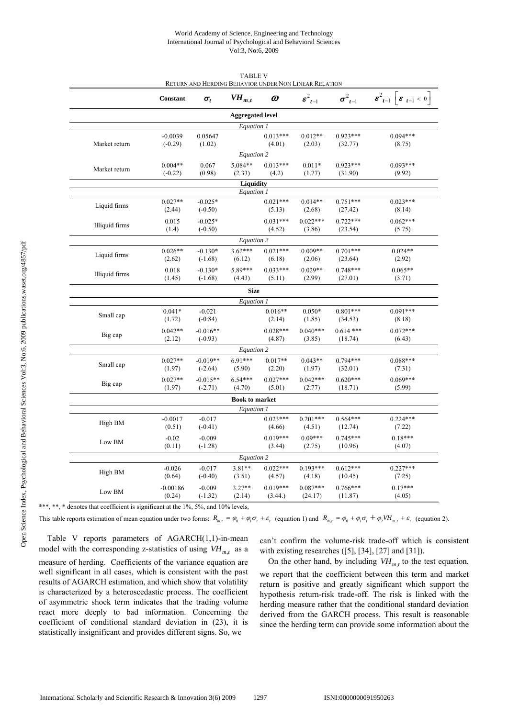#### World Academy of Science, Engineering and Technology International Journal of Psychological and Behavioral Sciences Vol:3, No:6, 2009

|                | Constant               | $\sigma_t$              | $V\!H_{m,t}$            | $\omega$              | $\boldsymbol{\varepsilon}_{t-1}^2$ | $\sigma^2_{t-1}$       | $\boldsymbol{\varepsilon}_{t-1}^2 \ \boldsymbol{\varepsilon}_{t-1} < 0\ $ |
|----------------|------------------------|-------------------------|-------------------------|-----------------------|------------------------------------|------------------------|---------------------------------------------------------------------------|
|                |                        |                         | <b>Aggregated level</b> |                       |                                    |                        |                                                                           |
|                |                        |                         | Equation 1              |                       |                                    |                        |                                                                           |
| Market return  | $-0.0039$<br>$(-0.29)$ | 0.05647<br>(1.02)       |                         | $0.013***$<br>(4.01)  | $0.012**$<br>(2.03)                | $0.923***$<br>(32.77)  | $0.094***$<br>(8.75)                                                      |
|                |                        |                         | Equation 2              |                       |                                    |                        |                                                                           |
| Market return  | $0.004**$<br>$(-0.22)$ | 0.067<br>(0.98)         | 5.084**<br>(2.33)       | $0.013***$<br>(4.2)   | $0.011*$<br>(1.77)                 | $0.923***$<br>(31.90)  | $0.093***$<br>(9.92)                                                      |
|                |                        |                         | <b>Liquidity</b>        |                       |                                    |                        |                                                                           |
|                |                        |                         | Equation 1              |                       |                                    |                        |                                                                           |
| Liquid firms   | $0.027**$<br>(2.44)    | $-0.025*$<br>$(-0.50)$  |                         | $0.021***$<br>(5.13)  | $0.014**$<br>(2.68)                | $0.751***$<br>(27.42)  | $0.023***$<br>(8.14)                                                      |
| Illiquid firms | 0.015<br>(1.4)         | $-0.025*$<br>$(-0.50)$  |                         | $0.031***$<br>(4.52)  | $0.022***$<br>(3.86)               | $0.722***$<br>(23.54)  | $0.062***$<br>(5.75)                                                      |
|                |                        |                         | Equation 2              |                       |                                    |                        |                                                                           |
| Liquid firms   | $0.026**$<br>(2.62)    | $-0.130*$<br>$(-1.68)$  | $3.62***$<br>(6.12)     | $0.021***$<br>(6.18)  | $0.009**$<br>(2.06)                | $0.701***$<br>(23.64)  | $0.024**$<br>(2.92)                                                       |
| Illiquid firms | 0.018<br>(1.45)        | $-0.130*$<br>$(-1.68)$  | 5.89***<br>(4.43)       | $0.033***$<br>(5.11)  | $0.029**$<br>(2.99)                | $0.748***$<br>(27.01)  | $0.065**$<br>(3.71)                                                       |
|                |                        |                         | <b>Size</b>             |                       |                                    |                        |                                                                           |
|                |                        |                         | Equation 1              |                       |                                    |                        |                                                                           |
| Small cap      | $0.041*$<br>(1.72)     | $-0.021$<br>$(-0.84)$   |                         | $0.016**$<br>(2.14)   | $0.050*$<br>(1.85)                 | $0.801***$<br>(34.53)  | $0.091***$<br>(8.18)                                                      |
| Big cap        | $0.042**$<br>(2.12)    | $-0.016**$<br>$(-0.93)$ |                         | $0.028***$<br>(4.87)  | $0.040***$<br>(3.85)               | $0.614$ ***<br>(18.74) | $0.072***$<br>(6.43)                                                      |
|                |                        |                         | Equation 2              |                       |                                    |                        |                                                                           |
| Small cap      | $0.027**$<br>(1.97)    | $-0.019**$<br>$(-2.64)$ | $6.91***$<br>(5.90)     | $0.017**$<br>(2.20)   | $0.043**$<br>(1.97)                | $0.794***$<br>(32.01)  | $0.088***$<br>(7.31)                                                      |
| Big cap        | $0.027**$<br>(1.97)    | $-0.015**$<br>$(-2.71)$ | $6.54***$<br>(4.70)     | $0.027***$<br>(5.01)  | $0.042***$<br>(2.77)               | $0.620***$<br>(18.71)  | $0.069***$<br>(5.99)                                                      |
|                |                        |                         | <b>Book to market</b>   |                       |                                    |                        |                                                                           |
|                |                        |                         | Equation 1              |                       |                                    |                        |                                                                           |
| High BM        | $-0.0017$<br>(0.51)    | $-0.017$<br>$(-0.41)$   |                         | $0.023***$<br>(4.66)  | $0.201***$<br>(4.51)               | $0.564***$<br>(12.74)  | $0.224***$<br>(7.22)                                                      |
| Low BM         | $-0.02$<br>(0.11)      | $-0.009$<br>$(-1.28)$   |                         | $0.019***$<br>(3.44)  | $0.09***$<br>(2.75)                | $0.745***$<br>(10.96)  | $0.18***$<br>(4.07)                                                       |
|                |                        |                         | Equation 2              |                       |                                    |                        |                                                                           |
| High BM        | $-0.026$<br>(0.64)     | $-0.017$<br>$(-0.40)$   | $3.81**$<br>(3.51)      | $0.022***$<br>(4.57)  | $0.193***$<br>(4.18)               | $0.612***$<br>(10.45)  | $0.227***$<br>(7.25)                                                      |
| Low BM         | $-0.00186$<br>(0.24)   | $-0.009$<br>$(-1.32)$   | $3.27**$<br>(2.14)      | $0.019***$<br>(3.44.) | $0.087***$<br>(24.17)              | $0.766***$<br>(11.87)  | $0.17***$<br>(4.05)                                                       |

TABLE V RETURN AND HERDING BEHAVIOR UNDER NON LINEAR RELATION

\*\*\*, \*\*, \* denotes that coefficient is significant at the 1%, 5%, and 10% levels,

This table reports estimation of mean equation under two forms:  $R_{m}$ ,  $= \varphi_0 + \varphi_1 \sigma_1 + \varepsilon_2$  (equation 1) and  $R_{m}$ ,  $= \varphi_0 + \varphi_1 \sigma_2 + \varphi_2 V H_{m}$ ,  $+ \varepsilon_1$  (equation 2).

Table V reports parameters of AGARCH(1,1)-in-mean model with the corresponding z-statistics of using  $VH_{m,t}$  as a measure of herding. Coefficients of the variance equation are well significant in all cases, which is consistent with the past results of AGARCH estimation, and which show that volatility is characterized by a heteroscedastic process. The coefficient of asymmetric shock term indicates that the trading volume react more deeply to bad information. Concerning the coefficient of conditional standard deviation in (23), it is statistically insignificant and provides different signs. So, we

can't confirm the volume-risk trade-off which is consistent with existing researches ([5], [34], [27] and [31]).

On the other hand, by including  $VH_{m}$  to the test equation, we report that the coefficient between this term and market return is positive and greatly significant which support the hypothesis return-risk trade-off. The risk is linked with the herding measure rather that the conditional standard deviation derived from the GARCH process. This result is reasonable since the herding term can provide some information about the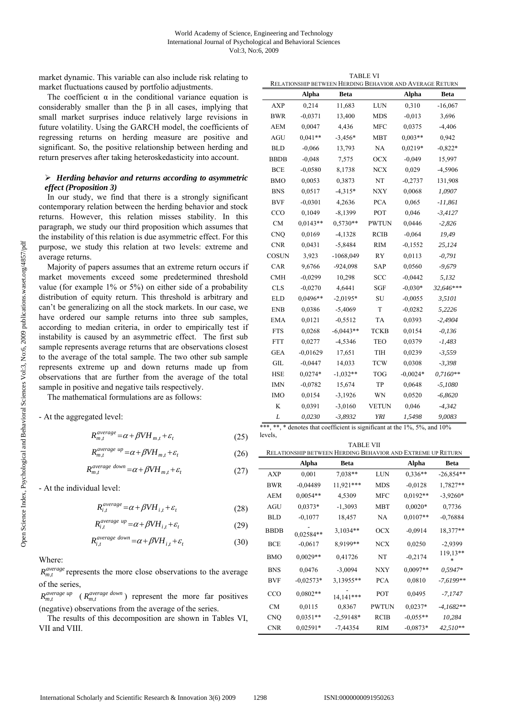market dynamic. This variable can also include risk relating to market fluctuations caused by portfolio adjustments.

The coefficient  $\alpha$  in the conditional variance equation is considerably smaller than the  $\beta$  in all cases, implying that small market surprises induce relatively large revisions in future volatility. Using the GARCH model, the coefficients of regressing returns on herding measure are positive and significant. So, the positive relationship between herding and return preserves after taking heteroskedasticity into account.

# ¾ *Herding behavior and returns according to asymmetric effect (Proposition 3)*

In our study, we find that there is a strongly significant contemporary relation between the herding behavior and stock returns. However, this relation misses stability. In this paragraph, we study our third proposition which assumes that the instability of this relation is due asymmetric effect. For this purpose, we study this relation at two levels: extreme and average returns.

Majority of papers assumes that an extreme return occurs if market movements exceed some predetermined threshold value (for example 1% or 5%) on either side of a probability distribution of equity return. This threshold is arbitrary and can't be generalizing on all the stock markets. In our case, we have ordered our sample returns into three sub samples, according to median criteria, in order to empirically test if instability is caused by an asymmetric effect. The first sub sample represents average returns that are observations closest to the average of the total sample. The two other sub sample represents extreme up and down returns made up from observations that are further from the average of the total sample in positive and negative tails respectively.

The mathematical formulations are as follows:

- At the aggregated level:

$$
R_{m,t}^{average} = \alpha + \beta V H_{m,t} + \varepsilon_t
$$
\n(25)

$$
R_{m,t}^{average \ up} = \alpha + \beta V H_{m,t} + \varepsilon_t \tag{26}
$$

$$
R_{m,t}^{average\ down} = \alpha + \beta V H_{m,t} + \varepsilon_t \tag{27}
$$

- At the individual level:

$$
R_{i,t}^{average} = \alpha + \beta V H_{i,t} + \varepsilon_t
$$
\n(28)

$$
R_{i,t}^{average \ up} = \alpha + \beta V H_{i,t} + \varepsilon_t \tag{29}
$$

$$
R_{i,t}^{average\ down} = \alpha + \beta V H_{i,t} + \varepsilon_t \tag{30}
$$

Where:

 $R_{m,t}^{average}$  represents the more close observations to the average of the series,

 $R_{m,t}^{average up}$  ( $R_{m,t}^{average down}$ ) represent the more far positives (negative) observations from the average of the series.

The results of this decomposition are shown in Tables VI, VII and VIII.

| <b>TABLE VI</b>                                          |
|----------------------------------------------------------|
| RELATIONSHIP BETWEEN HERDING BEHAVIOR AND AVERAGE RETURN |

|              | Alpha      | RELATIONSHII BETWEEN HERDING DEHAVIOR AND AVERAGE RETORN<br><b>Beta</b> |              | Alpha      | <b>Beta</b> |
|--------------|------------|-------------------------------------------------------------------------|--------------|------------|-------------|
| <b>AXP</b>   | 0,214      | 11,683                                                                  | LUN          | 0,310      | $-16,067$   |
| BWR          | $-0.0371$  | 13,400                                                                  | <b>MDS</b>   | $-0,013$   | 3,696       |
| <b>AEM</b>   | 0,0047     | 4,436                                                                   | MFC          | 0,0375     | $-4,406$    |
| <b>AGU</b>   | $0.041**$  | $-3,456*$                                                               | MBT          | $0,003**$  | 0,942       |
| <b>BLD</b>   | $-0.066$   | 13,793                                                                  | NA           | $0.0219*$  | $-0.822*$   |
| BBDB         | $-0,048$   | 7,575                                                                   | <b>OCX</b>   | $-0,049$   | 15,997      |
| <b>BCE</b>   | $-0.0580$  | 8,1738                                                                  | <b>NCX</b>   | 0,029      | $-4,5906$   |
| <b>BMO</b>   | 0,0053     | 0,3873                                                                  | NT           | $-0,2737$  | 131,908     |
| <b>BNS</b>   | 0,0517     | $-4,315*$                                                               | NXY          | 0,0068     | 1,0907      |
| <b>BVF</b>   | $-0,0301$  | 4,2636                                                                  | <b>PCA</b>   | 0,065      | $-11,861$   |
| CCO          | 0,1049     | $-8,1399$                                                               | POT          | 0,046      | $-3,4127$   |
| <b>CM</b>    | $0.0143**$ | $0.5730**$                                                              | <b>PWTUN</b> | 0,0446     | $-2,826$    |
| <b>CNQ</b>   | 0,0169     | $-4,1328$                                                               | <b>RCIB</b>  | $-0,064$   | 19,49       |
| <b>CNR</b>   | 0,0431     | $-5,8484$                                                               | <b>RIM</b>   | $-0,1552$  | 25,124      |
| <b>COSUN</b> | 3,923      | $-1068,049$                                                             | RY           | 0,0113     | $-0,791$    |
| CAR          | 9,6766     | $-924,098$                                                              | <b>SAP</b>   | 0,0560     | $-9,679$    |
| <b>CMH</b>   | $-0,0299$  | 10,298                                                                  | <b>SCC</b>   | $-0,0442$  | 5,132       |
| <b>CLS</b>   | $-0,0270$  | 4,6441                                                                  | SGF          | $-0,030*$  | 32,646***   |
| <b>ELD</b>   | 0,0496**   | $-2,0195*$                                                              | SU           | $-0,0055$  | 3,5101      |
| <b>ENB</b>   | 0,0386     | $-5,4069$                                                               | T            | $-0,0282$  | 5,2226      |
| <b>EMA</b>   | 0,0121     | $-0,5512$                                                               | <b>TA</b>    | 0,0393     | $-2,4904$   |
| <b>FTS</b>   | 0,0268     | $-6,0443**$                                                             | <b>TCKB</b>  | 0,0154     | $-0.136$    |
| <b>FTT</b>   | 0,0277     | $-4,5346$                                                               | <b>TEO</b>   | 0,0379     | $-1,483$    |
| <b>GEA</b>   | $-0,01629$ | 17,651                                                                  | TIH          | 0,0239     | $-3,559$    |
| GIL          | $-0,0447$  | 14,033                                                                  | <b>TCW</b>   | 0,0308     | $-3,398$    |
| <b>HSE</b>   | $0.0274*$  | $-1,032**$                                                              | <b>TOG</b>   | $-0,0024*$ | $0,7160**$  |
| <b>IMN</b>   | $-0,0782$  | 15,674                                                                  | TP           | 0,0648     | $-5,1080$   |
| <b>IMO</b>   | 0,0154     | $-3,1926$                                                               | WN           | 0,0520     | $-6,8620$   |
| K            | 0,0391     | $-3,0160$                                                               | <b>VETUN</b> | 0,046      | $-4,342$    |
| L            | 0,0230     | $-3,8932$                                                               | <b>YRI</b>   | 1,5498     | 9,0083      |

\*\*\*, \*\*, \* denotes that coefficient is significant at the 1%, 5%, and 10% levels,

| <b>TABLE VII</b>                                            |
|-------------------------------------------------------------|
|                                                             |
|                                                             |
| RELATIONSHIP BETWEEN HERDING BEHAVIOR AND EXTREME UP RETURN |

|             | <u>KEEATIONSHII DETWEEN HERDING DEHAVIOR AND EATREME OF KETORIN</u> |             |              |            |               |
|-------------|---------------------------------------------------------------------|-------------|--------------|------------|---------------|
|             | Alpha                                                               | Beta        |              | Alpha      | Beta          |
| AXP         | 0,001                                                               | 7,038**     | LUN          | $0,336**$  | $-26,854**$   |
| BWR         | $-0,04489$                                                          | 11,921***   | <b>MDS</b>   | $-0.0128$  | 1,7827**      |
| AEM         | $0.0054**$                                                          | 4,5309      | MFC          | $0,0192**$ | $-3,9260*$    |
| AGU         | $0.0373*$                                                           | $-1,3093$   | <b>MBT</b>   | $0,0020*$  | 0,7736        |
| BLD         | $-0.1077$                                                           | 18,457      | NA           | $0,0107**$ | $-0,76884$    |
| <b>BBDB</b> | 0,02584**                                                           | 3,1034**    | <b>OCX</b>   | $-0,0914$  | 18,377**      |
| BCE         | $-0.0617$                                                           | 8,9199**    | <b>NCX</b>   | 0,0250     | $-2,9399$     |
| <b>BMO</b>  | $0.0029**$                                                          | 0,41726     | NT           | $-0.2174$  | 119,13**<br>* |
| <b>BNS</b>  | 0,0476                                                              | $-3,0094$   | NXY          | $0,0097**$ | $0.5947*$     |
| BVF         | $-0.02573*$                                                         | 3,13955**   | <b>PCA</b>   | 0,0810     | $-7,6199**$   |
| CCO         | $0,0802**$                                                          | 14,141***   | POT          | 0,0495     | -7,1747       |
| <b>CM</b>   | 0,0115                                                              | 0,8367      | <b>PWTUN</b> | $0.0237*$  | $-4.1682**$   |
| <b>CNO</b>  | $0.0351**$                                                          | $-2,59148*$ | <b>RCIB</b>  | $-0.055**$ | 10,284        |
| <b>CNR</b>  | $0.02591*$                                                          | $-7,44354$  | <b>RIM</b>   | $-0.0873*$ | $42,510**$    |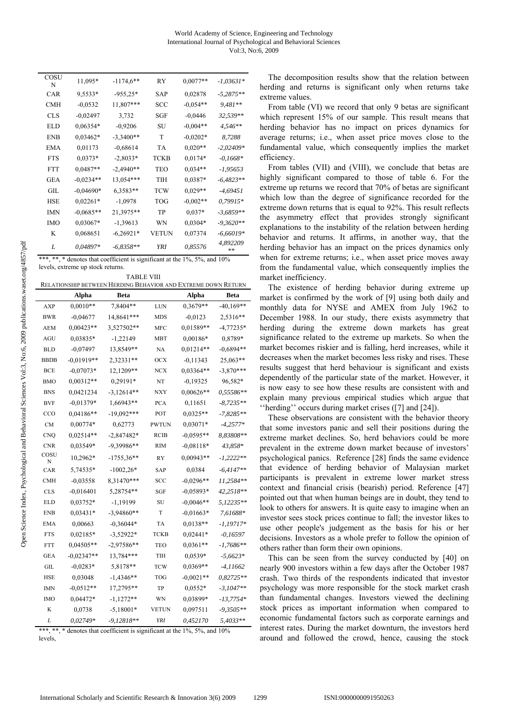| COSU       |             |              |            |            |                |
|------------|-------------|--------------|------------|------------|----------------|
| N          | 11,095*     | $-1174,6$ ** | RY         | $0.0077**$ | $-1,03631*$    |
| CAR        | 9,5533*     | $-955.25*$   | <b>SAP</b> | 0,02878    | $-5,2875**$    |
| CMH        | $-0,0532$   | 11,807***    | <b>SCC</b> | $-0.054**$ | 9,481**        |
| <b>CLS</b> | $-0,02497$  | 3,732        | SGF        | $-0.0446$  | 32,539**       |
| EL D       | $0.06354*$  | $-0,9206$    | SU         | $-0,004**$ | $4,546**$      |
| ENB        | $0.03462*$  | $-3,3400**$  | T          | $-0.0202*$ | 8,7288         |
| EMA        | 0,01173     | $-0.68614$   | <b>TA</b>  | $0,020**$  | $-2,02409*$    |
| <b>FTS</b> | $0,0373*$   | $-2,8033*$   | TCKB       | $0,0174*$  | $-0.1668*$     |
| <b>FTT</b> | $0.0487**$  | $-2,4940**$  | TEO        | $0.034**$  | $-1,95653$     |
| GEA        | $-0.0234**$ | 13,054***    | TIH        | 0,0387*    | $-6,4823**$    |
| GIL.       | $-0.04690*$ | 6,3583**     | <b>TCW</b> | $0.029**$  | -4,69451       |
| <b>HSE</b> | $0,02261*$  | $-1,0978$    | TOG        | $-0,002**$ | $0,79915*$     |
| IMN        | $-0,0685**$ | 21,3975**    | TP         | $0,037*$   | $-3,6859**$    |
| <b>IMO</b> | $0.03067*$  | $-1,39613$   | WN         | $0,0304*$  | $-9,3620**$    |
| K          | 0,068651    | $-6,26921*$  | VETUN      | 0,07374    | $-6,66019*$    |
| L          | 0,04897*    | $-6,8358**$  | YRI        | 0,85576    | 4,892209<br>** |

| ***, **, * denotes that coefficient is significant at the $1\%$ , $5\%$ , and $10\%$ |  |
|--------------------------------------------------------------------------------------|--|
| levels, extreme up stock returns.                                                    |  |

| <b>TABLE VIII</b>                                             |
|---------------------------------------------------------------|
| RELATIONSHIP BETWEEN HERDING BEHAVIOR AND EXTREME DOWN RETURN |
|                                                               |

|             | Alpha        | Beta         |              | Alpha       | Beta        |
|-------------|--------------|--------------|--------------|-------------|-------------|
| <b>AXP</b>  | $0,0010**$   | 7,8404**     | LUN          | 0,3679**    | $-40,169**$ |
| <b>BWR</b>  | $-0.04677$   | 14,8641***   | MDS          | $-0,0123$   | 2,5316**    |
| <b>AEM</b>  | $0,00423**$  | 3,527502**   | <b>MFC</b>   | 0,01589**   | $-4,77235*$ |
| <b>AGU</b>  | 0,03835*     | $-1,22149$   | MBT          | $0,00186*$  | 0,8789*     |
| <b>BLD</b>  | $-0.07497$   | 13,8549**    | NA           | $0,01214**$ | $-0,6894**$ |
| <b>BBDB</b> | $-0,01919**$ | 2,32331**    | осх          | $-0,11343$  | 25,063**    |
| <b>BCE</b>  | $-0.07073*$  | 12,1209**    | <b>NCX</b>   | 0,03364**   | $-3,870***$ |
| <b>BMO</b>  | $0,00312**$  | 0,29191*     | NT           | $-0.19325$  | 96,582*     |
| <b>BNS</b>  | 0,0421234    | $-3,12614**$ | NXY          | $0,00626**$ | 0,55586**   |
| <b>BVF</b>  | $-0.01379*$  | 1,66943**    | <b>PCA</b>   | 0,11651     | $-8,7235**$ |
| CCO         | $0,04186**$  | $-19,092***$ | POT          | $0.0325**$  | $-7,8285**$ |
| <b>CM</b>   | $0,00774*$   | 0,62773      | <b>PWTUN</b> | $0,03071*$  | $-4,2577*$  |
| <b>CNQ</b>  | $0,02514**$  | $-2,847482*$ | RCIB         | $-0,0595**$ | 8,83808**   |
| <b>CNR</b>  | 0,03549*     | $-9,39986**$ | <b>RIM</b>   | $-0,08118*$ | 43,858*     |
| COSU<br>N   | 10,2962*     | $-1755,36**$ | <b>RY</b>    | 0,00943**   | $-1,2222**$ |
| CAR         | 5,74535*     | $-1002,26*$  | <b>SAP</b>   | 0,0384      | $-6.4147**$ |
| <b>CMH</b>  | $-0,03558$   | 8,31470***   | SCC          | $-0,0296**$ | 11,2584**   |
| <b>CLS</b>  | $-0,016401$  | 5,28754**    | SGF          | $-0,05893*$ | 42,2518**   |
| <b>ELD</b>  | $0,03752*$   | -1,19199     | SU           | $-0,0046**$ | 5,12235**   |
| <b>ENB</b>  | $0,03431*$   | $-3,94860**$ | T            | $-0,01663*$ | 7,61688*    |
| <b>EMA</b>  | 0,00663      | $-0.36044*$  | TA           | $0.0138**$  | $-1.19717*$ |
| <b>FTS</b>  | $0,02185*$   | -3,52922*    | <b>TCKB</b>  | $0.02441*$  | $-0,16597$  |
| <b>FTT</b>  | 0,04505**    | $-2.97586**$ | TEO          | $0.0361**$  | $-1,7686**$ |
| <b>GEA</b>  | $-0,02347**$ | 13,784***    | TIH          | $0,0539*$   | $-5,6623*$  |
| <b>GIL</b>  | $-0,0283*$   | 5,8178**     | TCW          | 0,0369**    | $-4,11662$  |
| <b>HSE</b>  | 0,03048      | $-1,4346**$  | TOG          | $-0,0021**$ | $0.82725**$ |
| <b>IMN</b>  | $-0.0512**$  | 17,2795**    | TP           | $0.0552*$   | $-3,1047**$ |
| <b>IMO</b>  | 0,04472*     | $-1,1272**$  | WN           | 0,03899*    | $-13,7754*$ |
| K           | 0,0738       | $-5,18001*$  | <b>VETUN</b> | 0,097511    | $-9,3505**$ |
| L           | 0,02749*     | $-9,12818**$ | YRI          | 0,452170    | 5,4033**    |

\* denotes that coefficient is significant at the  $1\%$ ,  $5\%$ , and  $10\%$ levels,

The decomposition results show that the relation between herding and returns is significant only when returns take extreme values.

From table (VI) we record that only 9 betas are significant which represent 15% of our sample. This result means that herding behavior has no impact on prices dynamics for average returns; i.e., when asset price moves close to the fundamental value, which consequently implies the market efficiency.

From tables (VII) and (VIII), we conclude that betas are highly significant compared to those of table 6. For the extreme up returns we record that 70% of betas are significant which low than the degree of significance recorded for the extreme down returns that is equal to 92%. This result reflects the asymmetry effect that provides strongly significant explanations to the instability of the relation between herding behavior and returns. It affirms, in another way, that the herding behavior has an impact on the prices dynamics only when for extreme returns; i.e., when asset price moves away from the fundamental value, which consequently implies the market inefficiency.

The existence of herding behavior during extreme up market is confirmed by the work of [9] using both daily and monthly data for NYSE and AMEX from July 1962 to December 1988. In our study, there exists asymmetry that herding during the extreme down markets has great significance related to the extreme up markets. So when the market becomes riskier and is falling, herd increases, while it decreases when the market becomes less risky and rises. These results suggest that herd behaviour is significant and exists dependently of the particular state of the market. However, it is now easy to see how these results are consistent with and explain many previous empirical studies which argue that ''herding'' occurs during market crises ([7] and [24]).

These observations are consistent with the behavior theory that some investors panic and sell their positions during the extreme market declines. So, herd behaviors could be more prevalent in the extreme down market because of investors' psychological panics. Reference [28] finds the same evidence that evidence of herding behavior of Malaysian market participants is prevalent in extreme lower market stress context and financial crisis (bearish) period. Reference [47] pointed out that when human beings are in doubt, they tend to look to others for answers. It is quite easy to imagine when an investor sees stock prices continue to fall; the investor likes to use other people's judgement as the basis for his or her decisions. Investors as a whole prefer to follow the opinion of others rather than form their own opinions.

This can be seen from the survey conducted by [40] on nearly 900 investors within a few days after the October 1987 crash. Two thirds of the respondents indicated that investor psychology was more responsible for the stock market crash than fundamental changes. Investors viewed the declining stock prices as important information when compared to economic fundamental factors such as corporate earnings and interest rates. During the market downturn, the investors herd around and followed the crowd, hence, causing the stock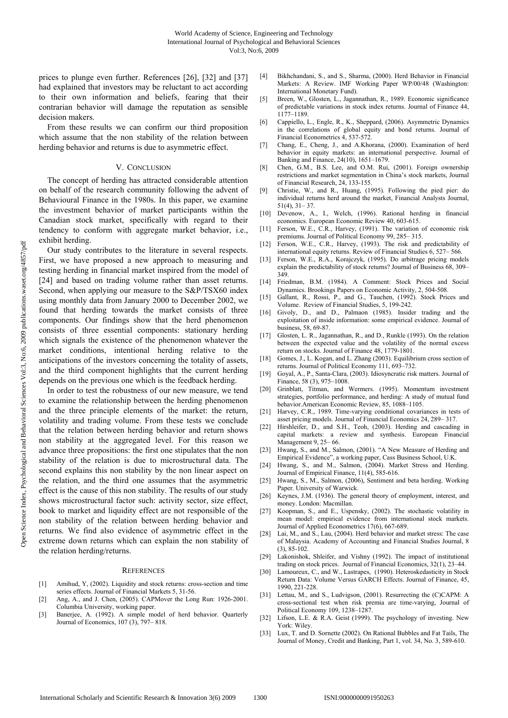prices to plunge even further. References [26], [32] and [37] had explained that investors may be reluctant to act according to their own information and beliefs, fearing that their contrarian behavior will damage the reputation as sensible decision makers.

From these results we can confirm our third proposition which assume that the non stability of the relation between herding behavior and returns is due to asymmetric effect.

#### V. CONCLUSION

The concept of herding has attracted considerable attention on behalf of the research community following the advent of Behavioural Finance in the 1980s. In this paper, we examine the investment behavior of market participants within the Canadian stock market, specifically with regard to their tendency to conform with aggregate market behavior, i.e., exhibit herding.

Our study contributes to the literature in several respects. First, we have proposed a new approach to measuring and testing herding in financial market inspired from the model of [24] and based on trading volume rather than asset returns. Second, when applying our measure to the S&P/TSX60 index using monthly data from January 2000 to December 2002, we found that herding towards the market consists of three components. Our findings show that the herd phenomenon consists of three essential components: stationary herding which signals the existence of the phenomenon whatever the market conditions, intentional herding relative to the anticipations of the investors concerning the totality of assets, and the third component highlights that the current herding depends on the previous one which is the feedback herding.

In order to test the robustness of our new measure, we tend to examine the relationship between the herding phenomenon and the three principle elements of the market: the return, volatility and trading volume. From these tests we conclude that the relation between herding behavior and return shows non stability at the aggregated level. For this reason we advance three propositions: the first one stipulates that the non stability of the relation is due to microstructural data. The second explains this non stability by the non linear aspect on the relation, and the third one assumes that the asymmetric effect is the cause of this non stability. The results of our study shows microstructural factor such: activity sector, size effect, book to market and liquidity effect are not responsible of the non stability of the relation between herding behavior and returns. We find also evidence of asymmetric effect in the extreme down returns which can explain the non stability of the relation herding/returns.

#### **REFERENCES**

- [1] Amihud, Y, (2002). Liquidity and stock returns: cross-section and time series effects. Journal of Financial Markets 5, 31-56.
- [2] Ang, A., and J. Chen, (2005). CAPMover the Long Run: 1926-2001. Columbia University, working paper.
- [3] Banerjee, A. (1992). A simple model of herd behavior. Quarterly Journal of Economics, 107 (3), 797– 818.
- [4] Bikhchandani, S., and S., Sharma, (2000). Herd Behavior in Financial Markets: A Review. IMF Working Paper WP/00/48 (Washington: International Monetary Fund).
- [5] Breen, W., Glosten, L., Jagannathan, R., 1989. Economic significance of predictable variations in stock index returns. Journal of Finance 44, 1177–1189.
- [6] Cappiello, L., Engle, R., K., Sheppard, (2006). Asymmetric Dynamics in the correlations of global equity and bond returns. Journal of Financial Econometrics 4, 537-572.
- [7] Chang, E., Cheng, J., and A.Khorana, (2000). Examination of herd behavior in equity markets: an international perspective. Journal of Banking and Finance, 24(10), 1651–1679.
- [8] Chen, G.M., B.S. Lee, and O.M. Rui, (2001). Foreign ownership restrictions and market segmentation in China's stock markets, Journal of Financial Research, 24, 133-155.
- [9] Christie, W., and R., Huang, (1995). Following the pied pier: do individual returns herd around the market, Financial Analysts Journal, 51(4), 31– 37.
- [10] Devenow, A., I., Welch, (1996). Rational herding in financial economics. European Economic Review 40, 603-615.
- [11] Ferson, W.E., C.R., Harvey, (1991). The variation of economic risk premiums. Journal of Political Economy 99, 285– 315.
- [12] Ferson, W.E., C.R., Harvey, (1993). The risk and predictability of international equity returns. Review of Financial Studies 6, 527– 566.
- [13] Ferson, W.E., R.A., Korajczyk, (1995). Do arbitrage pricing models explain the predictability of stock returns? Journal of Business 68, 309– 349.
- [14] Friedman, B.M. (1984). A Comment: Stock Prices and Social Dynamics. Brookings Papers on Economic Activity, 2, 504-508.
- [15] Gallant, R., Rossi, P., and G., Tauchen, (1992). Stock Prices and Volume. Review of Financial Studies, 5, 199-242.
- [16] Givoly, D., and D., Palmaon (1985). Insider trading and the exploitation of inside information: some empirical evidence. Journal of business, 58, 69-87.
- [17] Glosten, L. R., Jagannathan, R., and D., Runkle (1993). On the relation between the expected value and the volatility of the normal excess return on stocks. Journal of Finance 48, 1779-1801.
- [18] Gomes, J., L. Kogan, and L. Zhang (2003). Equilibrium cross section of returns. Journal of Political Economy 111, 693–732.
- [19] Goyal, A., P., Santa-Clara, (2003). Idiosyncratic risk matters. Journal of Finance, 58 (3), 975–1008.
- [20] Grinblatt, Titman, and Wermers. (1995). Momentum investment strategies, portfolio performance, and herding: A study of mutual fund behavior.American Economic Review, 85, 1088–1105.
- [21] Harvey, C.R., 1989. Time-varying conditional covariances in tests of asset pricing models. Journal of Financial Economics 24, 289– 317.
- [22] Hirshleifer, D., and S.H., Teoh, (2003). Herding and cascading in capital markets: a review and synthesis. European Financial Management 9, 25-66.
- [23] Hwang, S., and M., Salmon, (2001). "A New Measure of Herding and Empirical Evidence", a working paper, Cass Business School, U.K.
- [24] Hwang, S., and M., Salmon, (2004). Market Stress and Herding. Journal of Empirical Finance, 11(4), 585-616.
- [25] Hwang, S., M., Salmon, (2006), Sentiment and beta herding. Working Paper. University of Warwick.
- [26] Keynes, J.M. (1936). The general theory of employment, interest, and money. London: Macmillan.
- [27] Koopman, S., and E., Uspensky, (2002). The stochastic volatility in mean model: empirical evidence from international stock markets. Journal of Applied Econometrics 17(6), 667-689.
- [28] Lai, M., and S., Lau, (2004). Herd behavior and market stress: The case of Malaysia. Academy of Accounting and Financial Studies Journal, 8  $(3)$ , 85-102.
- [29] Lakonishok, Shleifer, and Vishny (1992). The impact of institutional trading on stock prices. Journal of Financial Economics, 32(1), 23–44.
- [30] Lamoureux, C., and W., Lastrapes, (1990). Heteroskedasticity in Stock Return Data: Volume Versus GARCH Effects. Journal of Finance, 45, 1990, 221-228.
- [31] Lettau, M., and S., Ludvigson, (2001). Resurrecting the (C)CAPM: A cross-sectional test when risk premia are time-varying, Journal of Political Economy 109, 1238–1287.
- [32] Lifson, L.E. & R.A. Geist (1999). The psychology of investing. New York: Wiley.
- [33] Lux, T. and D. Sornette (2002). On Rational Bubbles and Fat Tails, The Journal of Money, Credit and Banking, Part 1, vol. 34, No. 3, 589-610.